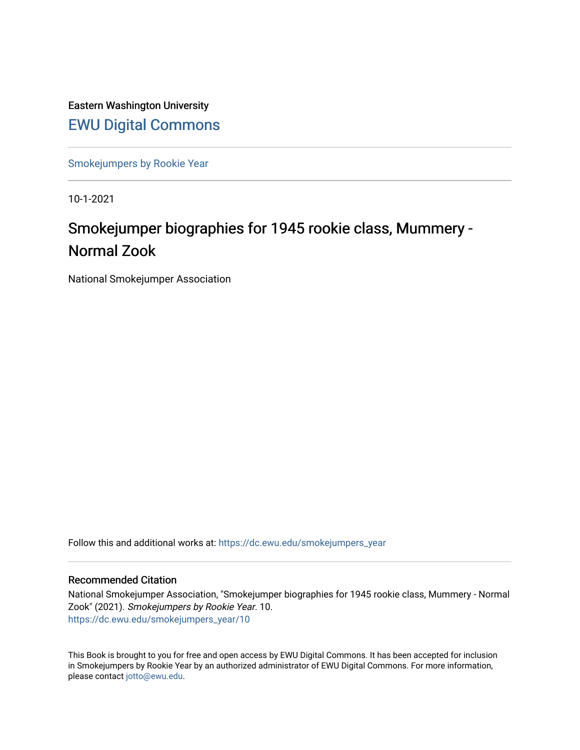Eastern Washington University [EWU Digital Commons](https://dc.ewu.edu/)

[Smokejumpers by Rookie Year](https://dc.ewu.edu/smokejumpers_year)

10-1-2021

# Smokejumper biographies for 1945 rookie class, Mummery - Normal Zook

National Smokejumper Association

Follow this and additional works at: [https://dc.ewu.edu/smokejumpers\\_year](https://dc.ewu.edu/smokejumpers_year?utm_source=dc.ewu.edu%2Fsmokejumpers_year%2F10&utm_medium=PDF&utm_campaign=PDFCoverPages) 

#### Recommended Citation

National Smokejumper Association, "Smokejumper biographies for 1945 rookie class, Mummery - Normal Zook" (2021). Smokejumpers by Rookie Year. 10. [https://dc.ewu.edu/smokejumpers\\_year/10](https://dc.ewu.edu/smokejumpers_year/10?utm_source=dc.ewu.edu%2Fsmokejumpers_year%2F10&utm_medium=PDF&utm_campaign=PDFCoverPages)

This Book is brought to you for free and open access by EWU Digital Commons. It has been accepted for inclusion in Smokejumpers by Rookie Year by an authorized administrator of EWU Digital Commons. For more information, please contact [jotto@ewu.edu](mailto:jotto@ewu.edu).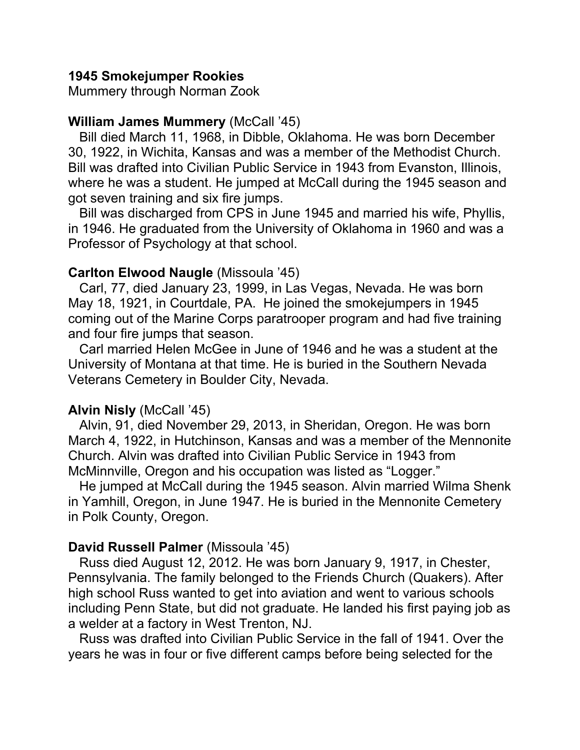# **1945 Smokejumper Rookies**

Mummery through Norman Zook

# **William James Mummery** (McCall '45)

 Bill died March 11, 1968, in Dibble, Oklahoma. He was born December 30, 1922, in Wichita, Kansas and was a member of the Methodist Church. Bill was drafted into Civilian Public Service in 1943 from Evanston, Illinois, where he was a student. He jumped at McCall during the 1945 season and got seven training and six fire jumps.

 Bill was discharged from CPS in June 1945 and married his wife, Phyllis, in 1946. He graduated from the University of Oklahoma in 1960 and was a Professor of Psychology at that school.

# **Carlton Elwood Naugle** (Missoula '45)

 Carl, 77, died January 23, 1999, in Las Vegas, Nevada. He was born May 18, 1921, in Courtdale, PA. He joined the smokejumpers in 1945 coming out of the Marine Corps paratrooper program and had five training and four fire jumps that season.

 Carl married Helen McGee in June of 1946 and he was a student at the University of Montana at that time. He is buried in the Southern Nevada Veterans Cemetery in Boulder City, Nevada.

# **Alvin Nisly** (McCall '45)

 Alvin, 91, died November 29, 2013, in Sheridan, Oregon. He was born March 4, 1922, in Hutchinson, Kansas and was a member of the Mennonite Church. Alvin was drafted into Civilian Public Service in 1943 from McMinnville, Oregon and his occupation was listed as "Logger."

 He jumped at McCall during the 1945 season. Alvin married Wilma Shenk in Yamhill, Oregon, in June 1947. He is buried in the Mennonite Cemetery in Polk County, Oregon.

# **David Russell Palmer** (Missoula '45)

 Russ died August 12, 2012. He was born January 9, 1917, in Chester, Pennsylvania. The family belonged to the Friends Church (Quakers). After high school Russ wanted to get into aviation and went to various schools including Penn State, but did not graduate. He landed his first paying job as a welder at a factory in West Trenton, NJ.

 Russ was drafted into Civilian Public Service in the fall of 1941. Over the years he was in four or five different camps before being selected for the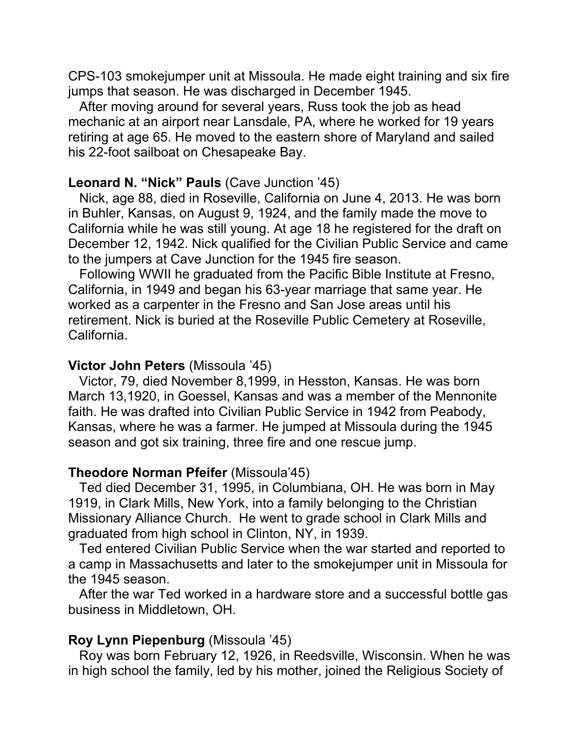CPS-103 smokejumper unit at Missoula. He made eight training and six fire jumps that season. He was discharged in December 1945.

 After moving around for several years, Russ took the job as head mechanic at an airport near Lansdale, PA, where he worked for 19 years retiring at age 65. He moved to the eastern shore of Maryland and sailed his 22-foot sailboat on Chesapeake Bay.

#### **Leonard N. "Nick" Pauls** (Cave Junction '45)

 Nick, age 88, died in Roseville, California on June 4, 2013. He was born in Buhler, Kansas, on August 9, 1924, and the family made the move to California while he was still young. At age 18 he registered for the draft on December 12, 1942. Nick qualified for the Civilian Public Service and came to the jumpers at Cave Junction for the 1945 fire season.

 Following WWII he graduated from the Pacific Bible Institute at Fresno, California, in 1949 and began his 63-year marriage that same year. He worked as a carpenter in the Fresno and San Jose areas until his retirement. Nick is buried at the Roseville Public Cemetery at Roseville, California.

#### **Victor John Peters** (Missoula '45)

 Victor, 79, died November 8,1999, in Hesston, Kansas. He was born March 13,1920, in Goessel, Kansas and was a member of the Mennonite faith. He was drafted into Civilian Public Service in 1942 from Peabody, Kansas, where he was a farmer. He jumped at Missoula during the 1945 season and got six training, three fire and one rescue jump.

#### **Theodore Norman Pfeifer** (Missoula'45)

 Ted died December 31, 1995, in Columbiana, OH. He was born in May 1919, in Clark Mills, New York, into a family belonging to the Christian Missionary Alliance Church. He went to grade school in Clark Mills and graduated from high school in Clinton, NY, in 1939.

 Ted entered Civilian Public Service when the war started and reported to a camp in Massachusetts and later to the smokejumper unit in Missoula for the 1945 season.

 After the war Ted worked in a hardware store and a successful bottle gas business in Middletown, OH.

#### **Roy Lynn Piepenburg** (Missoula '45)

 Roy was born February 12, 1926, in Reedsville, Wisconsin. When he was in high school the family, led by his mother, joined the Religious Society of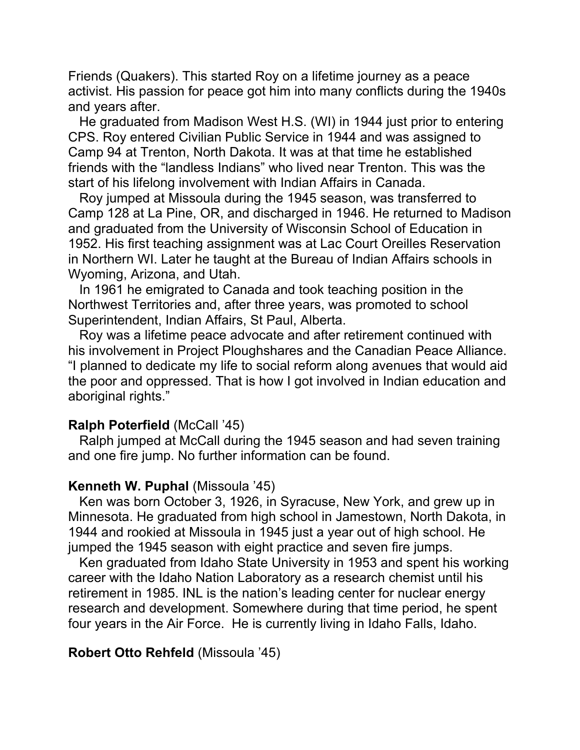Friends (Quakers). This started Roy on a lifetime journey as a peace activist. His passion for peace got him into many conflicts during the 1940s and years after.

 He graduated from Madison West H.S. (WI) in 1944 just prior to entering CPS. Roy entered Civilian Public Service in 1944 and was assigned to Camp 94 at Trenton, North Dakota. It was at that time he established friends with the "landless Indians" who lived near Trenton. This was the start of his lifelong involvement with Indian Affairs in Canada.

 Roy jumped at Missoula during the 1945 season, was transferred to Camp 128 at La Pine, OR, and discharged in 1946. He returned to Madison and graduated from the University of Wisconsin School of Education in 1952. His first teaching assignment was at Lac Court Oreilles Reservation in Northern WI. Later he taught at the Bureau of Indian Affairs schools in Wyoming, Arizona, and Utah.

 In 1961 he emigrated to Canada and took teaching position in the Northwest Territories and, after three years, was promoted to school Superintendent, Indian Affairs, St Paul, Alberta.

 Roy was a lifetime peace advocate and after retirement continued with his involvement in Project Ploughshares and the Canadian Peace Alliance. "I planned to dedicate my life to social reform along avenues that would aid the poor and oppressed. That is how I got involved in Indian education and aboriginal rights."

#### **Ralph Poterfield** (McCall '45)

 Ralph jumped at McCall during the 1945 season and had seven training and one fire jump. No further information can be found.

#### **Kenneth W. Puphal** (Missoula '45)

 Ken was born October 3, 1926, in Syracuse, New York, and grew up in Minnesota. He graduated from high school in Jamestown, North Dakota, in 1944 and rookied at Missoula in 1945 just a year out of high school. He jumped the 1945 season with eight practice and seven fire jumps.

 Ken graduated from Idaho State University in 1953 and spent his working career with the Idaho Nation Laboratory as a research chemist until his retirement in 1985. INL is the nation's leading center for nuclear energy research and development. Somewhere during that time period, he spent four years in the Air Force. He is currently living in Idaho Falls, Idaho.

#### **Robert Otto Rehfeld** (Missoula '45)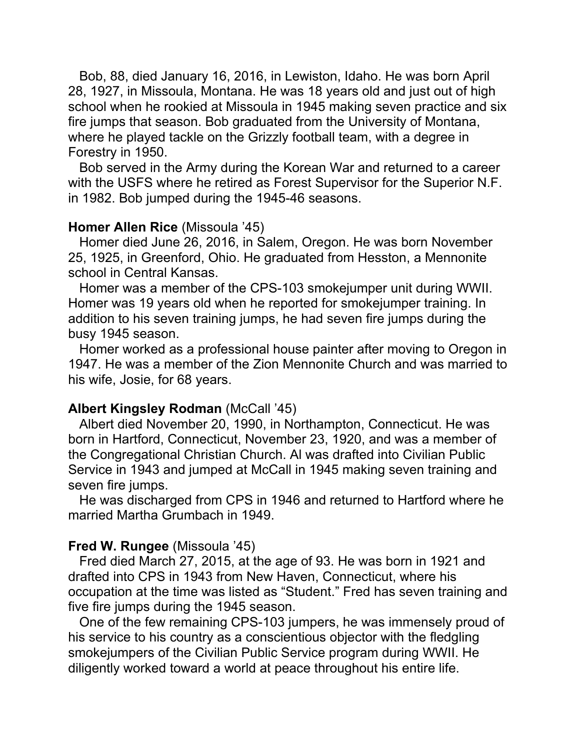Bob, 88, died January 16, 2016, in Lewiston, Idaho. He was born April 28, 1927, in Missoula, Montana. He was 18 years old and just out of high school when he rookied at Missoula in 1945 making seven practice and six fire jumps that season. Bob graduated from the University of Montana, where he played tackle on the Grizzly football team, with a degree in Forestry in 1950.

 Bob served in the Army during the Korean War and returned to a career with the USFS where he retired as Forest Supervisor for the Superior N.F. in 1982. Bob jumped during the 1945-46 seasons.

#### **Homer Allen Rice** (Missoula '45)

 Homer died June 26, 2016, in Salem, Oregon. He was born November 25, 1925, in Greenford, Ohio. He graduated from Hesston, a Mennonite school in Central Kansas.

 Homer was a member of the CPS-103 smokejumper unit during WWII. Homer was 19 years old when he reported for smokejumper training. In addition to his seven training jumps, he had seven fire jumps during the busy 1945 season.

 Homer worked as a professional house painter after moving to Oregon in 1947. He was a member of the Zion Mennonite Church and was married to his wife, Josie, for 68 years.

#### **Albert Kingsley Rodman** (McCall '45)

 Albert died November 20, 1990, in Northampton, Connecticut. He was born in Hartford, Connecticut, November 23, 1920, and was a member of the Congregational Christian Church. Al was drafted into Civilian Public Service in 1943 and jumped at McCall in 1945 making seven training and seven fire jumps.

 He was discharged from CPS in 1946 and returned to Hartford where he married Martha Grumbach in 1949.

#### **Fred W. Rungee** (Missoula '45)

 Fred died March 27, 2015, at the age of 93. He was born in 1921 and drafted into CPS in 1943 from New Haven, Connecticut, where his occupation at the time was listed as "Student." Fred has seven training and five fire jumps during the 1945 season.

 One of the few remaining CPS-103 jumpers, he was immensely proud of his service to his country as a conscientious objector with the fledgling smokejumpers of the Civilian Public Service program during WWII. He diligently worked toward a world at peace throughout his entire life.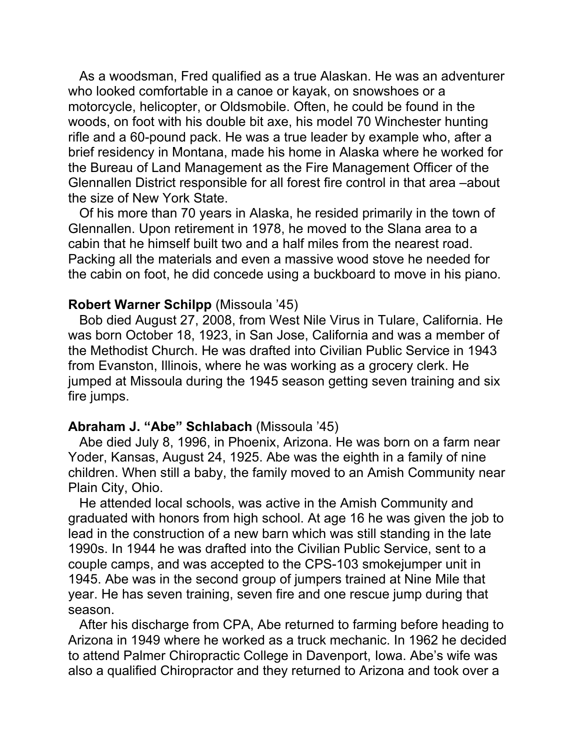As a woodsman, Fred qualified as a true Alaskan. He was an adventurer who looked comfortable in a canoe or kayak, on snowshoes or a motorcycle, helicopter, or Oldsmobile. Often, he could be found in the woods, on foot with his double bit axe, his model 70 Winchester hunting rifle and a 60-pound pack. He was a true leader by example who, after a brief residency in Montana, made his home in Alaska where he worked for the Bureau of Land Management as the Fire Management Officer of the Glennallen District responsible for all forest fire control in that area –about the size of New York State.

 Of his more than 70 years in Alaska, he resided primarily in the town of Glennallen. Upon retirement in 1978, he moved to the Slana area to a cabin that he himself built two and a half miles from the nearest road. Packing all the materials and even a massive wood stove he needed for the cabin on foot, he did concede using a buckboard to move in his piano.

#### **Robert Warner Schilpp** (Missoula '45)

 Bob died August 27, 2008, from West Nile Virus in Tulare, California. He was born October 18, 1923, in San Jose, California and was a member of the Methodist Church. He was drafted into Civilian Public Service in 1943 from Evanston, Illinois, where he was working as a grocery clerk. He jumped at Missoula during the 1945 season getting seven training and six fire jumps.

#### **Abraham J. "Abe" Schlabach** (Missoula '45)

 Abe died July 8, 1996, in Phoenix, Arizona. He was born on a farm near Yoder, Kansas, August 24, 1925. Abe was the eighth in a family of nine children. When still a baby, the family moved to an Amish Community near Plain City, Ohio.

 He attended local schools, was active in the Amish Community and graduated with honors from high school. At age 16 he was given the job to lead in the construction of a new barn which was still standing in the late 1990s. In 1944 he was drafted into the Civilian Public Service, sent to a couple camps, and was accepted to the CPS-103 smokejumper unit in 1945. Abe was in the second group of jumpers trained at Nine Mile that year. He has seven training, seven fire and one rescue jump during that season.

 After his discharge from CPA, Abe returned to farming before heading to Arizona in 1949 where he worked as a truck mechanic. In 1962 he decided to attend Palmer Chiropractic College in Davenport, Iowa. Abe's wife was also a qualified Chiropractor and they returned to Arizona and took over a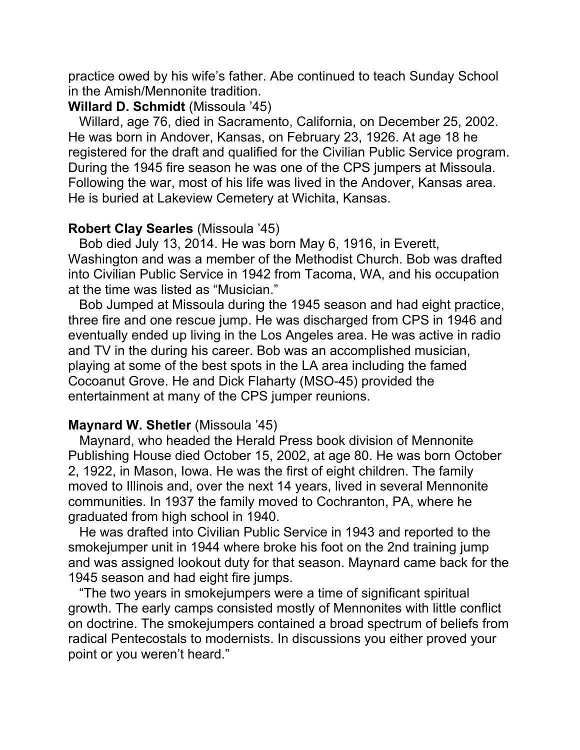practice owed by his wife's father. Abe continued to teach Sunday School in the Amish/Mennonite tradition.

#### **Willard D. Schmidt** (Missoula '45)

 Willard, age 76, died in Sacramento, California, on December 25, 2002. He was born in Andover, Kansas, on February 23, 1926. At age 18 he registered for the draft and qualified for the Civilian Public Service program. During the 1945 fire season he was one of the CPS jumpers at Missoula. Following the war, most of his life was lived in the Andover, Kansas area. He is buried at Lakeview Cemetery at Wichita, Kansas.

# **Robert Clay Searles** (Missoula '45)

 Bob died July 13, 2014. He was born May 6, 1916, in Everett, Washington and was a member of the Methodist Church. Bob was drafted into Civilian Public Service in 1942 from Tacoma, WA, and his occupation at the time was listed as "Musician."

 Bob Jumped at Missoula during the 1945 season and had eight practice, three fire and one rescue jump. He was discharged from CPS in 1946 and eventually ended up living in the Los Angeles area. He was active in radio and TV in the during his career. Bob was an accomplished musician, playing at some of the best spots in the LA area including the famed Cocoanut Grove. He and Dick Flaharty (MSO-45) provided the entertainment at many of the CPS jumper reunions.

# **Maynard W. Shetler** (Missoula '45)

 Maynard, who headed the Herald Press book division of Mennonite Publishing House died October 15, 2002, at age 80. He was born October 2, 1922, in Mason, Iowa. He was the first of eight children. The family moved to Illinois and, over the next 14 years, lived in several Mennonite communities. In 1937 the family moved to Cochranton, PA, where he graduated from high school in 1940.

 He was drafted into Civilian Public Service in 1943 and reported to the smokejumper unit in 1944 where broke his foot on the 2nd training jump and was assigned lookout duty for that season. Maynard came back for the 1945 season and had eight fire jumps.

 "The two years in smokejumpers were a time of significant spiritual growth. The early camps consisted mostly of Mennonites with little conflict on doctrine. The smokejumpers contained a broad spectrum of beliefs from radical Pentecostals to modernists. In discussions you either proved your point or you weren't heard."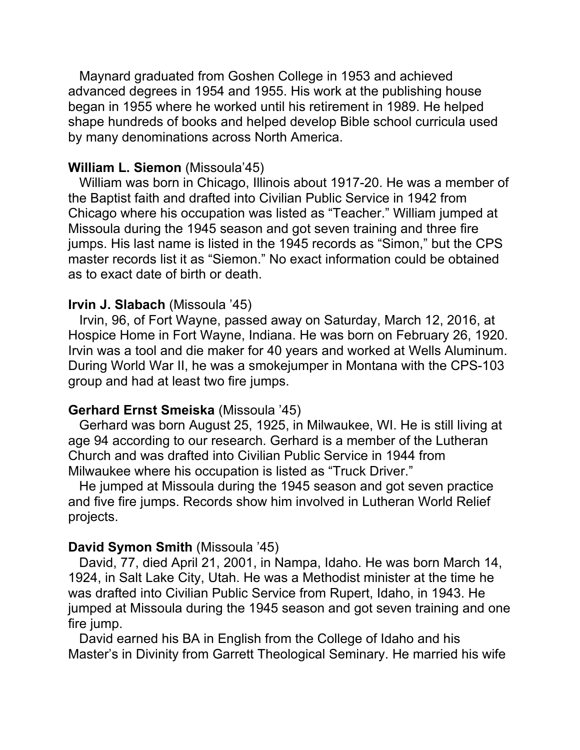Maynard graduated from Goshen College in 1953 and achieved advanced degrees in 1954 and 1955. His work at the publishing house began in 1955 where he worked until his retirement in 1989. He helped shape hundreds of books and helped develop Bible school curricula used by many denominations across North America.

# **William L. Siemon** (Missoula'45)

William was born in Chicago, Illinois about 1917-20. He was a member of the Baptist faith and drafted into Civilian Public Service in 1942 from Chicago where his occupation was listed as "Teacher." William jumped at Missoula during the 1945 season and got seven training and three fire jumps. His last name is listed in the 1945 records as "Simon," but the CPS master records list it as "Siemon." No exact information could be obtained as to exact date of birth or death.

# **Irvin J. Slabach** (Missoula '45)

 Irvin, 96, of Fort Wayne, passed away on Saturday, March 12, 2016, at Hospice Home in Fort Wayne, Indiana. He was born on February 26, 1920. Irvin was a tool and die maker for 40 years and worked at Wells Aluminum. During World War II, he was a smokejumper in Montana with the CPS-103 group and had at least two fire jumps.

# **Gerhard Ernst Smeiska** (Missoula '45)

 Gerhard was born August 25, 1925, in Milwaukee, WI. He is still living at age 94 according to our research. Gerhard is a member of the Lutheran Church and was drafted into Civilian Public Service in 1944 from Milwaukee where his occupation is listed as "Truck Driver."

 He jumped at Missoula during the 1945 season and got seven practice and five fire jumps. Records show him involved in Lutheran World Relief projects.

# **David Symon Smith** (Missoula '45)

 David, 77, died April 21, 2001, in Nampa, Idaho. He was born March 14, 1924, in Salt Lake City, Utah. He was a Methodist minister at the time he was drafted into Civilian Public Service from Rupert, Idaho, in 1943. He jumped at Missoula during the 1945 season and got seven training and one fire jump.

 David earned his BA in English from the College of Idaho and his Master's in Divinity from Garrett Theological Seminary. He married his wife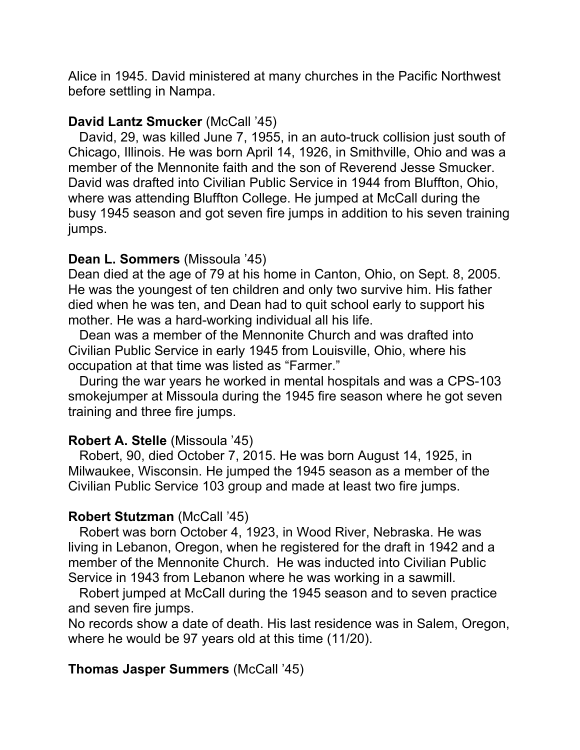Alice in 1945. David ministered at many churches in the Pacific Northwest before settling in Nampa.

# **David Lantz Smucker** (McCall '45)

 David, 29, was killed June 7, 1955, in an auto-truck collision just south of Chicago, Illinois. He was born April 14, 1926, in Smithville, Ohio and was a member of the Mennonite faith and the son of Reverend Jesse Smucker. David was drafted into Civilian Public Service in 1944 from Bluffton, Ohio, where was attending Bluffton College. He jumped at McCall during the busy 1945 season and got seven fire jumps in addition to his seven training jumps.

# **Dean L. Sommers** (Missoula '45)

Dean died at the age of 79 at his home in Canton, Ohio, on Sept. 8, 2005. He was the youngest of ten children and only two survive him. His father died when he was ten, and Dean had to quit school early to support his mother. He was a hard-working individual all his life.

 Dean was a member of the Mennonite Church and was drafted into Civilian Public Service in early 1945 from Louisville, Ohio, where his occupation at that time was listed as "Farmer."

 During the war years he worked in mental hospitals and was a CPS-103 smokejumper at Missoula during the 1945 fire season where he got seven training and three fire jumps.

# **Robert A. Stelle** (Missoula '45)

 Robert, 90, died October 7, 2015. He was born August 14, 1925, in Milwaukee, Wisconsin. He jumped the 1945 season as a member of the Civilian Public Service 103 group and made at least two fire jumps.

# **Robert Stutzman** (McCall '45)

 Robert was born October 4, 1923, in Wood River, Nebraska. He was living in Lebanon, Oregon, when he registered for the draft in 1942 and a member of the Mennonite Church. He was inducted into Civilian Public Service in 1943 from Lebanon where he was working in a sawmill.

 Robert jumped at McCall during the 1945 season and to seven practice and seven fire jumps.

No records show a date of death. His last residence was in Salem, Oregon, where he would be 97 years old at this time (11/20).

# **Thomas Jasper Summers** (McCall '45)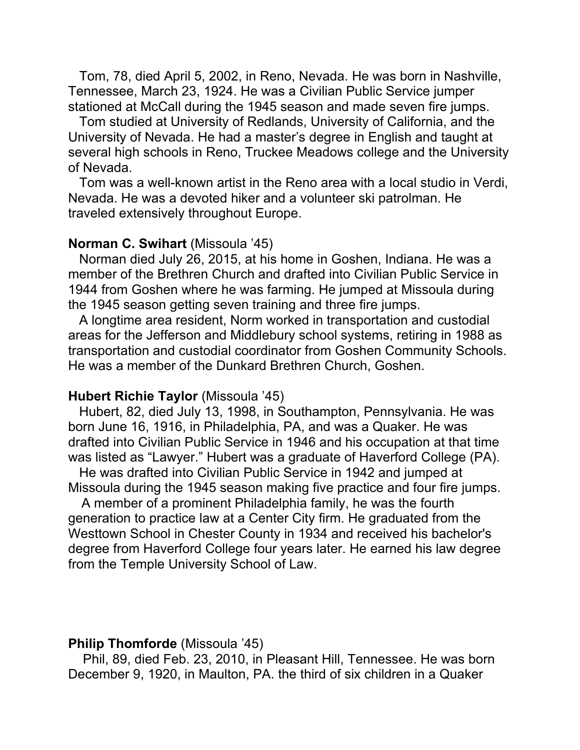Tom, 78, died April 5, 2002, in Reno, Nevada. He was born in Nashville, Tennessee, March 23, 1924. He was a Civilian Public Service jumper stationed at McCall during the 1945 season and made seven fire jumps.

 Tom studied at University of Redlands, University of California, and the University of Nevada. He had a master's degree in English and taught at several high schools in Reno, Truckee Meadows college and the University of Nevada.

 Tom was a well-known artist in the Reno area with a local studio in Verdi, Nevada. He was a devoted hiker and a volunteer ski patrolman. He traveled extensively throughout Europe.

#### **Norman C. Swihart** (Missoula '45)

 Norman died July 26, 2015, at his home in Goshen, Indiana. He was a member of the Brethren Church and drafted into Civilian Public Service in 1944 from Goshen where he was farming. He jumped at Missoula during the 1945 season getting seven training and three fire jumps.

 A longtime area resident, Norm worked in transportation and custodial areas for the Jefferson and Middlebury school systems, retiring in 1988 as transportation and custodial coordinator from Goshen Community Schools. He was a member of the Dunkard Brethren Church, Goshen.

#### **Hubert Richie Taylor** (Missoula '45)

 Hubert, 82, died July 13, 1998, in Southampton, Pennsylvania. He was born June 16, 1916, in Philadelphia, PA, and was a Quaker. He was drafted into Civilian Public Service in 1946 and his occupation at that time was listed as "Lawyer." Hubert was a graduate of Haverford College (PA).

 He was drafted into Civilian Public Service in 1942 and jumped at Missoula during the 1945 season making five practice and four fire jumps.

 A member of a prominent Philadelphia family, he was the fourth generation to practice law at a Center City firm. He graduated from the Westtown School in Chester County in 1934 and received his bachelor's degree from Haverford College four years later. He earned his law degree from the Temple University School of Law.

#### **Philip Thomforde** (Missoula '45)

 Phil, 89, died Feb. 23, 2010, in Pleasant Hill, Tennessee. He was born December 9, 1920, in Maulton, PA. the third of six children in a Quaker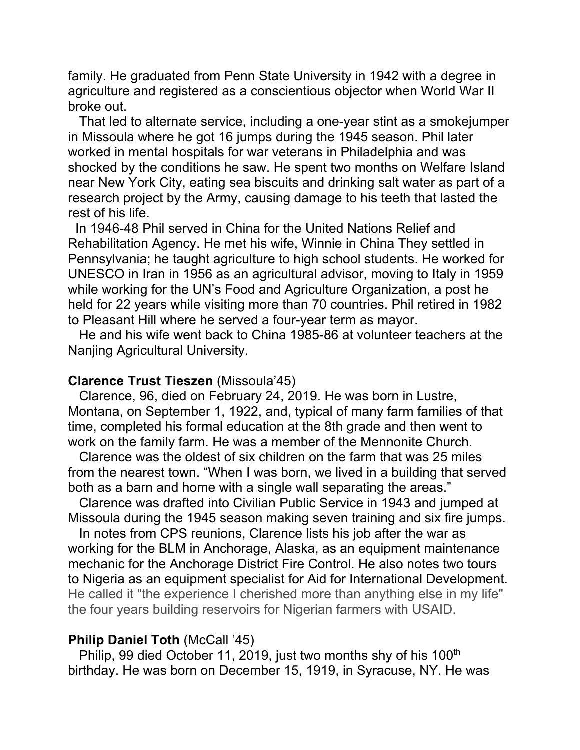family. He graduated from Penn State University in 1942 with a degree in agriculture and registered as a conscientious objector when World War II broke out.

 That led to alternate service, including a one-year stint as a smokejumper in Missoula where he got 16 jumps during the 1945 season. Phil later worked in mental hospitals for war veterans in Philadelphia and was shocked by the conditions he saw. He spent two months on Welfare Island near New York City, eating sea biscuits and drinking salt water as part of a research project by the Army, causing damage to his teeth that lasted the rest of his life.

 In 1946-48 Phil served in China for the United Nations Relief and Rehabilitation Agency. He met his wife, Winnie in China They settled in Pennsylvania; he taught agriculture to high school students. He worked for UNESCO in Iran in 1956 as an agricultural advisor, moving to Italy in 1959 while working for the UN's Food and Agriculture Organization, a post he held for 22 years while visiting more than 70 countries. Phil retired in 1982 to Pleasant Hill where he served a four-year term as mayor.

 He and his wife went back to China 1985-86 at volunteer teachers at the Nanjing Agricultural University.

#### **Clarence Trust Tieszen** (Missoula'45)

 Clarence, 96, died on February 24, 2019. He was born in Lustre, Montana, on September 1, 1922, and, typical of many farm families of that time, completed his formal education at the 8th grade and then went to work on the family farm. He was a member of the Mennonite Church.

 Clarence was the oldest of six children on the farm that was 25 miles from the nearest town. "When I was born, we lived in a building that served both as a barn and home with a single wall separating the areas."

 Clarence was drafted into Civilian Public Service in 1943 and jumped at Missoula during the 1945 season making seven training and six fire jumps.

 In notes from CPS reunions, Clarence lists his job after the war as working for the BLM in Anchorage, Alaska, as an equipment maintenance mechanic for the Anchorage District Fire Control. He also notes two tours to Nigeria as an equipment specialist for Aid for International Development. He called it "the experience I cherished more than anything else in my life" the four years building reservoirs for Nigerian farmers with USAID.

#### **Philip Daniel Toth** (McCall '45)

Philip, 99 died October 11, 2019, just two months shy of his 100<sup>th</sup> birthday. He was born on December 15, 1919, in Syracuse, NY. He was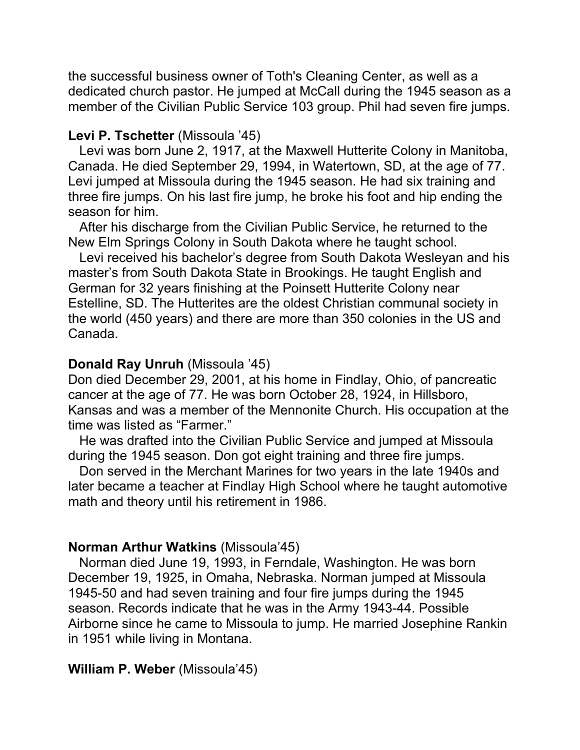the successful business owner of Toth's Cleaning Center, as well as a dedicated church pastor. He jumped at McCall during the 1945 season as a member of the Civilian Public Service 103 group. Phil had seven fire jumps.

# **Levi P. Tschetter** (Missoula '45)

 Levi was born June 2, 1917, at the Maxwell Hutterite Colony in Manitoba, Canada. He died September 29, 1994, in Watertown, SD, at the age of 77. Levi jumped at Missoula during the 1945 season. He had six training and three fire jumps. On his last fire jump, he broke his foot and hip ending the season for him.

 After his discharge from the Civilian Public Service, he returned to the New Elm Springs Colony in South Dakota where he taught school.

 Levi received his bachelor's degree from South Dakota Wesleyan and his master's from South Dakota State in Brookings. He taught English and German for 32 years finishing at the Poinsett Hutterite Colony near Estelline, SD. The Hutterites are the oldest Christian communal society in the world (450 years) and there are more than 350 colonies in the US and Canada.

# **Donald Ray Unruh** (Missoula '45)

Don died December 29, 2001, at his home in Findlay, Ohio, of pancreatic cancer at the age of 77. He was born October 28, 1924, in Hillsboro, Kansas and was a member of the Mennonite Church. His occupation at the time was listed as "Farmer."

 He was drafted into the Civilian Public Service and jumped at Missoula during the 1945 season. Don got eight training and three fire jumps.

 Don served in the Merchant Marines for two years in the late 1940s and later became a teacher at Findlay High School where he taught automotive math and theory until his retirement in 1986.

# **Norman Arthur Watkins** (Missoula'45)

 Norman died June 19, 1993, in Ferndale, Washington. He was born December 19, 1925, in Omaha, Nebraska. Norman jumped at Missoula 1945-50 and had seven training and four fire jumps during the 1945 season. Records indicate that he was in the Army 1943-44. Possible Airborne since he came to Missoula to jump. He married Josephine Rankin in 1951 while living in Montana.

# **William P. Weber** (Missoula'45)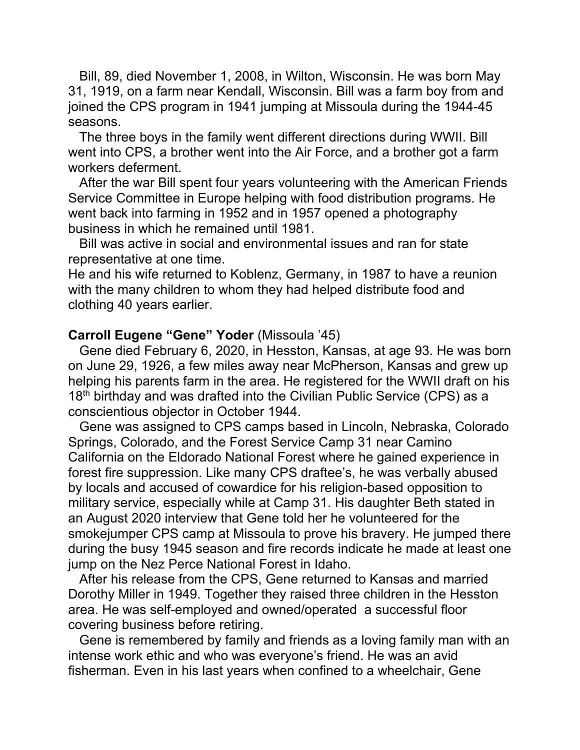Bill, 89, died November 1, 2008, in Wilton, Wisconsin. He was born May 31, 1919, on a farm near Kendall, Wisconsin. Bill was a farm boy from and joined the CPS program in 1941 jumping at Missoula during the 1944-45 seasons.

 The three boys in the family went different directions during WWII. Bill went into CPS, a brother went into the Air Force, and a brother got a farm workers deferment.

 After the war Bill spent four years volunteering with the American Friends Service Committee in Europe helping with food distribution programs. He went back into farming in 1952 and in 1957 opened a photography business in which he remained until 1981.

 Bill was active in social and environmental issues and ran for state representative at one time.

He and his wife returned to Koblenz, Germany, in 1987 to have a reunion with the many children to whom they had helped distribute food and clothing 40 years earlier.

#### **Carroll Eugene "Gene" Yoder** (Missoula '45)

 Gene died February 6, 2020, in Hesston, Kansas, at age 93. He was born on June 29, 1926, a few miles away near McPherson, Kansas and grew up helping his parents farm in the area. He registered for the WWII draft on his  $18<sup>th</sup>$  birthday and was drafted into the Civilian Public Service (CPS) as a conscientious objector in October 1944.

 Gene was assigned to CPS camps based in Lincoln, Nebraska, Colorado Springs, Colorado, and the Forest Service Camp 31 near Camino California on the Eldorado National Forest where he gained experience in forest fire suppression. Like many CPS draftee's, he was verbally abused by locals and accused of cowardice for his religion-based opposition to military service, especially while at Camp 31. His daughter Beth stated in an August 2020 interview that Gene told her he volunteered for the smokejumper CPS camp at Missoula to prove his bravery. He jumped there during the busy 1945 season and fire records indicate he made at least one jump on the Nez Perce National Forest in Idaho.

 After his release from the CPS, Gene returned to Kansas and married Dorothy Miller in 1949. Together they raised three children in the Hesston area. He was self-employed and owned/operated a successful floor covering business before retiring.

 Gene is remembered by family and friends as a loving family man with an intense work ethic and who was everyone's friend. He was an avid fisherman. Even in his last years when confined to a wheelchair, Gene